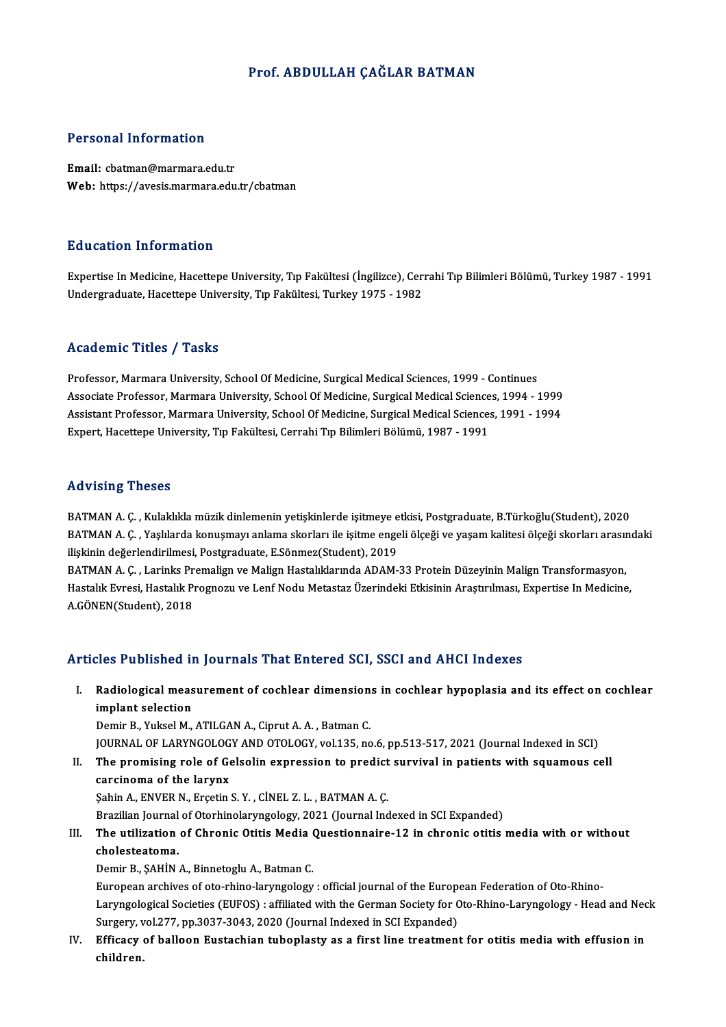#### Prof. ABDULLAH CAĞLAR BATMAN

#### Personal Information

Email: cbatman@marmara.edu.tr Web: https://avesis.marmara.edu.tr/cbatman

#### Education Information

Education Information<br>Expertise In Medicine, Hacettepe University, Tıp Fakültesi (İngilizce), Cerrahi Tıp Bilimleri Bölümü, Turkey 1987 - 1991<br>Undergraduate Hacettepe University, Tıp Fakültesi, Turkey 1975 - 1992 Buususion IIII of Inderon<br>Expertise In Medicine, Hacettepe University, Tıp Fakültesi (İngilizce), Cer<br>Undergraduate, Hacettepe University, Tıp Fakültesi, Turkey 1975 - 1982 Undergraduate, Hacettepe University, Tıp Fakültesi, Turkey 1975 - 1982<br>Academic Titles / Tasks

Academic Titles / Tasks<br>Professor, Marmara University, School Of Medicine, Surgical Medical Sciences, 1999 - Continues<br>Associate Professor, Marmara University, School Of Medicine, Surgical Medical Sciences, 1994 Associate Artico 7 Yustis<br>Professor, Marmara University, School Of Medicine, Surgical Medical Sciences, 1999 - Continues<br>Associate Professor, Marmara University, School Of Medicine, Surgical Medical Sciences, 1994 - 1999<br>A Associate Professor, Marmara University, School Of Medicine, Surgical Medical Sciences, 1994 - 1999<br>Assistant Professor, Marmara University, School Of Medicine, Surgical Medical Sciences, 1991 - 1994 Expert, Hacettepe University, Tıp Fakültesi, Cerrahi Tıp Bilimleri Bölümü, 1987 - 1991

#### Advising Theses

BATMAN A. Ç. , Kulaklıkla müzik dinlemenin yetişkinlerde işitmeye etkisi, Postgraduate, B.Türkoğlu(Student), 2020 rta vioring "risosos"<br>BATMAN A. Ç. , Kulaklıkla müzik dinlemenin yetişkinlerde işitmeye etkisi, Postgraduate, B.Türkoğlu(Student), 2020<br>BATMAN A. Ç. , Yaşlılarda konuşmayı anlama skorları ile işitme engeli ölçeği ve yaşam ilişkinin değerlendirilmesi, Postgraduate, E.Sönmez(Student), 2019<br>BATMAN A. Ç. , Larinks Premalign ve Malign Hastalıklarında ADAM-33 Protein Düzeyinin Malign Transformasyon, BATMAN A. Ç. , Yaşlılarda konuşmayı anlama skorları ile işitme engeli ölçeği ve yaşam kalitesi ölçeği skorları arasın<br>ilişkinin değerlendirilmesi, Postgraduate, E.Sönmez(Student), 2019<br>BATMAN A. Ç. , Larinks Premalign ve M

ilişkinin değerlendirilmesi, Postgraduate, E.Sönmez(Student), 2019<br>BATMAN A. Ç. , Larinks Premalign ve Malign Hastalıklarında ADAM-33 Protein Düzeyinin Malign Transformasyon,<br>Hastalık Evresi, Hastalık Prognozu ve Lenf Nodu BATMAN A. Ç. , Larinks Pr<br>Hastalık Evresi, Hastalık Pı<br>A.GÖNEN(Student), 2018

# A.GÖNEN(Student), 2018<br>Articles Published in Journals That Entered SCI, SSCI and AHCI Indexes

rticles Published in Journals That Entered SCI, SSCI and AHCI Indexes<br>I. Radiological measurement of cochlear dimensions in cochlear hypoplasia and its effect on cochlear<br>implant celestion ites a distincte and<br>Radiological meas<br>implant selection<br>Domin B. Vulgel M implant selection<br>Demir B., Yuksel M., ATILGAN A., Ciprut A. A. , Batman C.

JOURNAL OF LARYNGOLOGY AND OTOLOGY, vol.135, no.6, pp.513-517, 2021 (Journal Indexed in SCI)

Demir B., Yuksel M., ATILGAN A., Ciprut A. A. , Batman C.<br>JOURNAL OF LARYNGOLOGY AND OTOLOGY, vol.135, no.6, pp.513-517, 2021 (Journal Indexed in SCI)<br>II. The promising role of Gelsolin expression to predict survival in pa carcinoma of the larynx<br>Sahin A., ENVER N., Ercetin S. Y., CINEL Z. L., BATMAN A. C. The promising role of Gelsolin expression to predict<br>carcinoma of the larynx<br>Şahin A., ENVER N., Erçetin S.Y. , CİNEL Z. L. , BATMAN A.Ç.<br>Pregilian Journal of Oterhinelerungelegu. 2021 (Journal Ind

Brazilian Journal of Otorhinolaryngology, 2021 (Journal Indexed in SCI Expanded)

## Sahin A., ENVER N., Erçetin S. Y. , CİNEL Z. L. , BATMAN A. Ç.<br>Brazilian Journal of Otorhinolaryngology, 2021 (Journal Indexed in SCI Expanded)<br>III. The utilization of Chronic Otitis Media Questionnaire-12 in chronic otiti Brazilian Journal<br>The utilization<br>cholesteatoma.<br>Domir B. SAHİN The utilization of Chronic Otitis Media (<br>cholesteatoma.<br>Demir B., ŞAHİN A., Binnetoglu A., Batman C.<br>European archives of ete rhine larungelegu

cholesteatoma.<br>Demir B., ȘAHİN A., Binnetoglu A., Batman C.<br>European archives of oto-rhino-laryngology : official journal of the European Federation of Oto-Rhino-<br>Laryngological Societies (EUEOS) : offiliated with the Cerm Demir B., ŞAHİN A., Binnetoglu A., Batman C.<br>European archives of oto-rhino-laryngology : official journal of the European Federation of Oto-Rhino-Laryngological Societies (EUFOS) : affiliated with the German Society for O European archives of oto-rhino-laryngology : official journal of the Europ<br>Laryngological Societies (EUFOS) : affiliated with the German Society for C<br>Surgery, vol.277, pp.3037-3043, 2020 (Journal Indexed in SCI Expanded)<br> Laryngological Societies (EUFOS) : affiliated with the German Society for Oto-Rhino-Laryngology - Head and Nec<br>Surgery, vol.277, pp.3037-3043, 2020 (Journal Indexed in SCI Expanded)<br>IV. Efficacy of balloon Eustachian tubop

Surgery, v<br><mark>Efficacy</mark><br>children.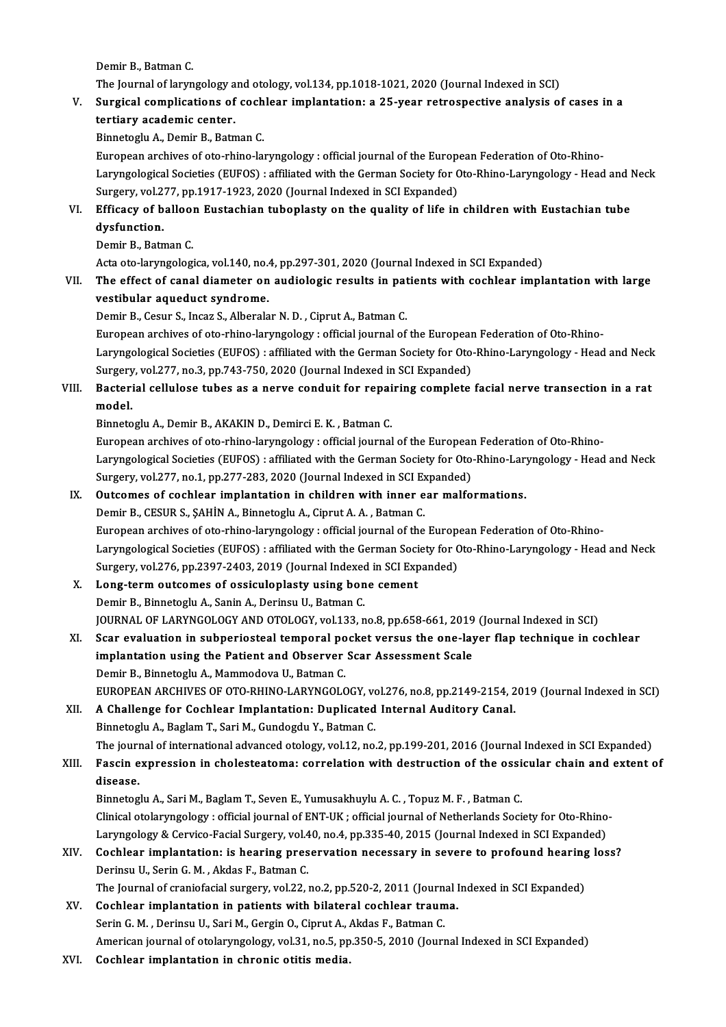Demir B., Batman C.

The Journal of laryngology and otology, vol.134, pp.1018-1021, 2020 (Journal Indexed in SCI)

## Demir B., Batman C.<br>The Journal of laryngology and otology, vol.134, pp.1018-1021, 2020 (Journal Indexed in SCI)<br>V. Surgical complications of cochlear implantation: a 25-year retrospective analysis of cases in a<br>tortio The Journal of laryngology a<br>Surgical complications of<br>tertiary academic center.<br>Binnstegly A. Domin B. Betn Surgical complications of coch<br>tertiary academic center.<br>Binnetoglu A., Demir B., Batman C.<br>European archives of ete rhine la:

tertiary academic center.<br>Binnetoglu A., Demir B., Batman C.<br>European archives of oto-rhino-laryngology : official journal of the European Federation of Oto-Rhino-Binnetoglu A., Demir B., Batman C.<br>European archives of oto-rhino-laryngology : official journal of the European Federation of Oto-Rhino-<br>Laryngological Societies (EUFOS) : affiliated with the German Society for Oto-Rhino-European archives of oto-rhino-laryngology : official journal of the Europ<br>Laryngological Societies (EUFOS) : affiliated with the German Society for C<br>Surgery, vol.277, pp.1917-1923, 2020 (Journal Indexed in SCI Expanded)<br> Laryngological Societies (EUFOS) : affiliated with the German Society for Oto-Rhino-Laryngology - Head and I<br>Surgery, vol.277, pp.1917-1923, 2020 (Journal Indexed in SCI Expanded)<br>VI. Efficacy of balloon Eustachian tubopla

## Surgery, vol.2<br>Efficacy of b<br>dysfunction.<br>Domir P. Potn Efficacy of ballool<br>dysfunction.<br>Demir B., Batman C.<br>Asta ata larumsalasi dysfunction.<br>Demir B., Batman C.<br>Acta oto-laryngologica, vol.140, no.4, pp.297-301, 2020 (Journal Indexed in SCI Expanded)

## Demir B., Batman C.<br>Acta oto-laryngologica, vol.140, no.4, pp.297-301, 2020 (Journal Indexed in SCI Expanded)<br>VII. The effect of canal diameter on audiologic results in patients with cochlear implantation with large<br>westib vestibular aqueduct syndrome.<br>Demir B., Cesur S., Incaz S., Alberalar N. D., Ciprut A., Batman C. The effect of canal diameter on audiologic results in pat<br>vestibular aqueduct syndrome.<br>Demir B., Cesur S., Incaz S., Alberalar N. D. , Ciprut A., Batman C.<br>European archives of ete rhine larungelegy : official journal of

European archives of oto-rhino-laryngology : official journal of the European Federation of Oto-Rhino-Laryngological Societies (EUFOS) : affiliated with the German Society for Oto-Rhino-Laryngology - Head and Neck European archives of oto-rhino-laryngology : official journal of the European<br>Laryngological Societies (EUFOS) : affiliated with the German Society for Oto-<br>Surgery, vol.277, no.3, pp.743-750, 2020 (Journal Indexed in SCI Laryngological Societies (EUFOS) : affiliated with the German Society for Oto-Rhino-Laryngology - Head and Neck<br>Surgery, vol.277, no.3, pp.743-750, 2020 (Journal Indexed in SCI Expanded)<br>VIII. Bacterial cellulose tubes as

## Surgery<br>Bacteri<br>model. Bacterial cellulose tubes as a nerve conduit for repai<br>model.<br>Binnetoglu A., Demir B., AKAKIN D., Demirci E. K. , Batman C.<br>European archives of ete rhine larungelegy : efficial journal

model.<br>Binnetoglu A., Demir B., AKAKIN D., Demirci E. K. , Batman C.<br>European archives of oto-rhino-laryngology : official journal of the European Federation of Oto-Rhino-Binnetoglu A., Demir B., AKAKIN D., Demirci E. K. , Batman C.<br>European archives of oto-rhino-laryngology : official journal of the European Federation of Oto-Rhino-<br>Laryngological Societies (EUFOS) : affiliated with the Ge European archives of oto-rhino-laryngology : official journal of the European<br>Laryngological Societies (EUFOS) : affiliated with the German Society for Oto-<br>Surgery, vol.277, no.1, pp.277-283, 2020 (Journal Indexed in SCI Laryngological Societies (EUFOS) : affiliated with the German Society for Oto-Rhino-Lary<br>Surgery, vol.277, no.1, pp.277-283, 2020 (Journal Indexed in SCI Expanded)<br>IX. Outcomes of cochlear implantation in children with in

## Surgery, vol.277, no.1, pp.277-283, 2020 (Journal Indexed in SCI Expanded)<br>IX. Outcomes of cochlear implantation in children with inner ear malformations.<br>Demir B., CESUR S., SAHİN A., Binnetoglu A., Ciprut A. A., Batman C

European archives of oto-rhino-laryngology : official journal of the European Federation of Oto-Rhino-Laryngological Societies (EUFOS) : affiliated with the German Society for Oto-Rhino-Laryngology - Head and Neck European archives of oto-rhino-laryngology : official journal of the Europ<br>Laryngological Societies (EUFOS) : affiliated with the German Society for C<br>Surgery, vol.276, pp.2397-2403, 2019 (Journal Indexed in SCI Expanded)<br> Laryngological Societies (EUFOS) : affiliated with the German Soci<br>Surgery, vol.276, pp.2397-2403, 2019 (Journal Indexed in SCI Exp<br>X. Long-term outcomes of ossiculoplasty using bone cement<br>Domin B. Binnetoclu A. Sonin A.

## Surgery, vol.276, pp.2397-2403, 2019 (Journal Indexed<br>Long-term outcomes of ossiculoplasty using bon<br>Demir B., Binnetoglu A., Sanin A., Derinsu U., Batman C.<br>JOURNAL OF LARYNCOLOCY AND OTOLOCY vol.132. p Long-term outcomes of ossiculoplasty using bone cement<br>Demir B., Binnetoglu A., Sanin A., Derinsu U., Batman C.<br>JOURNAL OF LARYNGOLOGY AND OTOLOGY, vol.133, no.8, pp.658-661, 2019 (Journal Indexed in SCI)<br>Sear evoluction i Demir B., Binnetoglu A., Sanin A., Derinsu U., Batman C.<br>JOURNAL OF LARYNGOLOGY AND OTOLOGY, vol.133, no.8, pp.658-661, 2019 (Journal Indexed in SCI)<br>XI. Scar evaluation in subperiosteal temporal pocket versus the one-laye

## JOURNAL OF LARYNGOLOGY AND OTOLOGY, vol.133, no.8, pp.658-661, 2019<br>Scar evaluation in subperiosteal temporal pocket versus the one-lay<br>implantation using the Patient and Observer Scar Assessment Scale<br>Domin B. Binnetocky Scar evaluation in subperiosteal temporal po<br>implantation using the Patient and Observer<br>Demir B., Binnetoglu A., Mammodova U., Batman C.<br>EUROPEAN ARCHIVES OF OTO PHINO LARVNCOLO implantation using the Patient and Observer Scar Assessment Scale<br>Demir B., Binnetoglu A., Mammodova U., Batman C.<br>EUROPEAN ARCHIVES OF OTO-RHINO-LARYNGOLOGY, vol.276, no.8, pp.2149-2154, 2019 (Journal Indexed in SCI)

### XII. A Challenge for Cochlear Implantation: Duplicated Internal Auditory Canal. Binnetoglu A., Baglam T., Sari M., Gundogdu Y., Batman C. A Challenge for Cochlear Implantation: Duplicated Internal Auditory Canal.<br>Binnetoglu A., Baglam T., Sari M., Gundogdu Y., Batman C.<br>The journal of international advanced otology, vol.12, no.2, pp.199-201, 2016 (Journal In Binnetoglu A., Baglam T., Sari M., Gundogdu Y., Batman C.<br>The journal of international advanced otology, vol.12, no.2, pp.199-201, 2016 (Journal Indexed in SCI Expanded)<br>XIII. Fascin expression in cholesteatoma: correlatio

## The jour<mark><br>Fascin e</mark><br>disease.<br><sup>Pinnotog</sup> Fascin expression in cholesteatoma: correlation with destruction of the ossicular chain and extent of disease.<br>Binnetoglu A., Sari M., Baglam T., Seven E., Yumusakhuylu A. C. , Topuz M. F. , Batman C.

disease.<br>Binnetoglu A., Sari M., Baglam T., Seven E., Yumusakhuylu A. C. , Topuz M. F. , Batman C.<br>Clinical otolaryngology : official journal of ENT-UK ; official journal of Netherlands Society for Oto-Rhino-<br>Laryngology & Binnetoglu A., Sari M., Baglam T., Seven E., Yumusakhuylu A. C. , Topuz M. F. , Batman C.<br>Clinical otolaryngology : official journal of ENT-UK ; official journal of Netherlands Society for Oto-Rhino<br>Laryngology & Cervico-F Clinical otolaryngology : official journal of ENT-UK ; official journal of Netherlands Society for Oto-Rhino-<br>Laryngology & Cervico-Facial Surgery, vol.40, no.4, pp.335-40, 2015 (Journal Indexed in SCI Expanded)<br>XIV. Cochl

## Laryngology & Cervico-Facial Surgery, vol.4<br>Cochlear implantation: is hearing pres<br>Derinsu U., Serin G. M. , Akdas F., Batman C.<br>The Journal of graniafacial surgery, vol.22. Cochlear implantation: is hearing preservation necessary in severe to profound hearing<br>Derinsu U., Serin G. M. , Akdas F., Batman C.<br>The Journal of craniofacial surgery, vol.22, no.2, pp.520-2, 2011 (Journal Indexed in SCI

## Derinsu U., Serin G. M. , Akdas F., Batman C.<br>The Journal of craniofacial surgery, vol.22, no.2, pp.520-2, 2011 (Journal IXV.<br>XV. Cochlear implantation in patients with bilateral cochlear trauma. The Journal of craniofacial surgery, vol.22, no.2, pp.520-2, 2011 (Journal Cochlear implantation in patients with bilateral cochlear traum<br>Serin G. M. , Derinsu U., Sari M., Gergin O., Ciprut A., Akdas F., Batman C.<br>Americ Serin G. M., Derinsu U., Sari M., Gergin O., Ciprut A., Akdas F., Batman C.<br>American journal of otolaryngology, vol.31, no.5, pp.350-5, 2010 (Journal Indexed in SCI Expanded)

XVI. Cochlear implantation in chronic otitis media.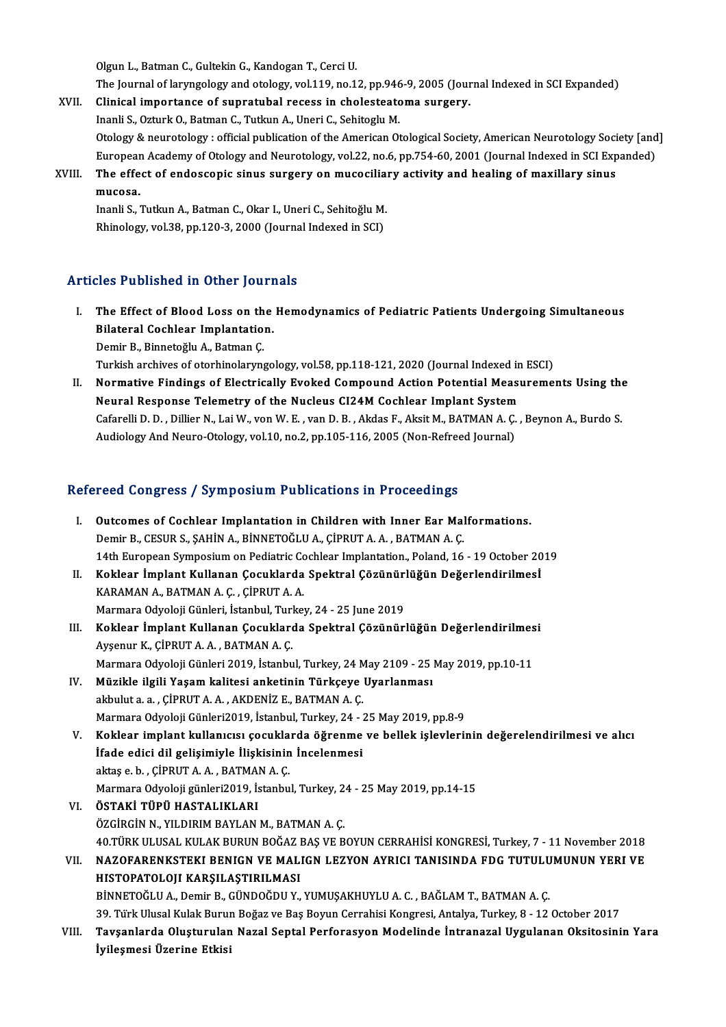Olgun L., Batman C., Gultekin G., Kandogan T., Cerci U. Olgun L., Batman C., Gultekin G., Kandogan T., Cerci U.<br>The Journal of laryngology and otology, vol.119, no.12, pp.946-9, 2005 (Journal Indexed in SCI Expanded)<br>Clinical imnostance of sunnatubal resess in cholostesteme sur Olgun L., Batman C., Gultekin G., Kandogan T., Cerci U.<br>The Journal of laryngology and otology, vol.119, no.12, pp.946-9, 2005 (Jour<br>XVII. Clinical importance of supratubal recess in cholesteatoma surgery.<br>Inopli S. Otturk

The Journal of laryngology and otology, vol.119, no.12, pp.946<br>Clinical importance of supratubal recess in cholesteate<br>Inanli S., Ozturk O., Batman C., Tutkun A., Uneri C., Sehitoglu M.<br>Otology & nouvetabogy : official pub Clinical importance of supratubal recess in cholesteatoma surgery.<br>Inanli S., Ozturk O., Batman C., Tutkun A., Uneri C., Sehitoglu M.<br>Otology & neurotology : official publication of the American Otological Society, America Inanli S., Ozturk O., Batman C., Tutkun A., Uneri C., Sehitoglu M.<br>Otology & neurotology : official publication of the American Otological Society, American Neurotology Society [and<br>European Academy of Otology and Neurotol Otology & neurotology : official publication of the American Otological Society, American Neurotology Soci<br>European Academy of Otology and Neurotology, vol.22, no.6, pp.754-60, 2001 (Journal Indexed in SCI Exp<br>XVIII. The e

Europear<br>The effe<br>mucosa.<br>Inanli S The effect of endoscopic sinus surgery on mucocilia:<br>mucosa.<br>Inanli S., Tutkun A., Batman C., Okar I., Uneri C., Sehitoğlu M.<br>Phinology vol 39. pp.120-3-2000 (Journal Indoved in SCD

mucosa.<br>Inanli S., Tutkun A., Batman C., Okar I., Uneri C., Sehitoğlu M.<br>Rhinology, vol.38, pp.120-3, 2000 (Journal Indexed in SCI)

### Articles Published in Other Journals

- rticles Published in Other Journals<br>I. The Effect of Blood Loss on the Hemodynamics of Pediatric Patients Undergoing Simultaneous<br>Rilateral Cochlear Implantation The Effect of Blood Loss on the<br>Bilateral Cochlear Implantation.<br>Domin B. Binnstağlu A. Betman C. Bilateral Cochlear Implantation.<br>Demir B., Binnetoğlu A., Batman Ç. Bilateral Cochlear Implantation.<br>Demir B., Binnetoğlu A., Batman Ç.<br>Turkish archives of otorhinolaryngology, vol.58, pp.118-121, 2020 (Journal Indexed in ESCI)<br>Normative Eindings of Elestrically Evaked Compound Astion Pete
- II. Normative Findings of Electrically Evoked Compound Action Potential Measurements Using the Turkish archives of otorhinolaryngology, vol.58, pp.118-121, 2020 (Journal Indexed in<br>Normative Findings of Electrically Evoked Compound Action Potential Measu<br>Neural Response Telemetry of the Nucleus CI24M Cochlear Implan Cafarelli D. D. , Dillier N., Lai W., von W. E. , van D. B. , Akdas F., Aksit M., BATMAN A. Ç. , Beynon A., Burdo S.<br>Audiology And Neuro-Otology, vol.10, no.2, pp.105-116, 2005 (Non-Refreed Journal) Neural Response Telemetry of the Nucleus CI24M Cochlear Implant System

### Refereed Congress / Symposium Publications in Proceedings

- I. Outcomes of Cochlear Implantation in Children with Inner Ear Malformations. Demir B., CESUR S., ŞAHİN A., BİNNETOĞLU A., ÇİPRUT A. A., BATMAN A. Ç. 14th European Symposium on Pediatric Cochlear Implantation., Poland, 16 - 19 October 2019 Demir B., CESUR S., ŞAHİN A., BİNNETOĞLU A., ÇİPRUT A. A. , BATMAN A. Ç.<br>14th European Symposium on Pediatric Cochlear Implantation., Poland, 16 - 19 October 20<br>II. Koklear İmplant Kullanan Çocuklarda Spektral Çözünürlüğün
- KARAMAN A., BATMAN A. Ç. , ÇİPRUT A. A.<br>Marmara Odyoloji Günleri, İstanbul, Turkey, 24 25 June 2019 Koklear İmplant Kullanan Çocuklarda Spektral Çözünüri<br>KARAMAN A., BATMAN A. Ç. , ÇİPRUT A. A.<br>Marmara Odyoloji Günleri, İstanbul, Turkey, 24 - 25 June 2019<br>Koklear İmplant Kullanan Gasuklarda Spektral Gözünüri KARAMAN A., BATMAN A. Ç. , ÇİPRUT A. A.<br>Marmara Odyoloji Günleri, İstanbul, Turkey, 24 - 25 June 2019<br>III. Koklear İmplant Kullanan Çocuklarda Spektral Çözünürlüğün Değerlendirilmesi<br>Aygenur K. CİPPUT A. A., BATMAN A. G
- Marmara Odyoloji Günleri, İstanbul, Turl<br>**Koklear İmplant Kullanan Çocukları**<br>Ayşenur K., ÇİPRUT A. A. , BATMAN A. Ç.<br>Marmara Odvalaji Günlari 2010, İstanbu Koklear İmplant Kullanan Çocuklarda Spektral Çözünürlüğün Değerlendirilmes<br>Ayşenur K., ÇİPRUT A. A. , BATMAN A. Ç.<br>Marmara Odyoloji Günleri 2019, İstanbul, Turkey, 24 May 2109 - 25 May 2019, pp.10-11<br>Müzikle ilgili Yasam k Ayşenur K., ÇİPRUT A. A. , BATMAN A. Ç.<br>Marmara Odyoloji Günleri 2019, İstanbul, Turkey, 24 May 2109 - 25 May 2019, pp.10-11<br>IV. Müzikle ilgili Yaşam kalitesi anketinin Türkçeye Uyarlanması
- akbulut a.a., ÇİPRUT A.A., AKDENİZ E., BATMAN A.Ç. Marmara Odyoloji Günleri2019, İstanbul, Turkey, 24 - 25 May 2019, pp.8-9
- V. Koklear implant kullanıcısı çocuklarda öğrenme ve bellek işlevlerinin değerelendirilmesi ve alıcı Marmara Odyoloji Günleri2019, İstanbul, Turkey, 24 - 2<br>Koklear implant kullanıcısı çocuklarda öğrenme<br>İfade edici dil gelişimiyle İlişkisinin İncelenmesi<br>aktas a bu C<sup>ippur</sup> A A - BATMAN A C Koklear implant kullanıcısı çocukla<br>İfade edici dil gelişimiyle İlişkisinin<br>aktaş e.b. , ÇİPRUT A.A. , BATMAN A.Ç.<br>Marmara Odvalaji günləri<sup>2010</sup> İstanbu İfade edici dil gelişimiyle İlişkisinin İncelenmesi<br>aktaş e. b. , ÇİPRUT A. A. , BATMAN A. Ç.<br>Marmara Odyoloji günleri2019, İstanbul, Turkey, 24 - 25 May 2019, pp.14-15<br>ÖSTAKİ TÜPÜ HASTALIKLARI aktaş e. b. , ÇİPRUT A. A. , BATMAN A. Ç.<br>Marmara Odyoloji günleri2019, İstanbul, Turkey, 2<br>VI. **ÖSTAKİ TÜPÜ HASTALIKLARI**<br>ÖZGİRGİN N., YILDIRIM BAYLAN M., BATMAN A. C.
- Marmara Odyoloji günleri2019, İstanbul, Turkey, 2<br>**ÖSTAKİ TÜPÜ HASTALIKLARI**<br>ÖZGİRGİN N., YILDIRIM BAYLAN M., BATMAN A. Ç.<br>40 TÜPK ULUSAL KULAK RUPUN BOČAZ RAS VE R 40.TÜRKULUSALKULAKBURUNBOĞAZBAŞVEBOYUNCERRAHİSİKONGRESİ,Turkey,7 -11November 2018 ÖZGİRGİN N., YILDIRIM BAYLAN M., BATMAN A. Ç.<br>40.TÜRK ULUSAL KULAK BURUN BOĞAZ BAŞ VE BOYUN CERRAHİSİ KONGRESİ, Turkey, 7 - 11 November 2018<br>11. NAZOFARENKSTEKI BENIGN VE MALIGN LEZYON AYRICI TANISINDA FDG TUTULUMUNUN YERI
- 40.TÜRK ULUSAL KULAK BURUN BOĞAZ I<br>NAZOFARENKSTEKI BENIGN VE MAL<br>HISTOPATOLOJI KARŞILAŞTIRILMASI<br>BİNNETQĞLU A. Demir B. GÜNDQĞDU Y NAZOFARENKSTEKI BENIGN VE MALIGN LEZYON AYRICI TANISINDA FDG TUTULU<br>HISTOPATOLOJI KARŞILAŞTIRILMASI<br>BİNNETOĞLU A., Demir B., GÜNDOĞDU Y., YUMUŞAKHUYLU A. C. , BAĞLAM T., BATMAN A. Ç.<br>20. Türk Ulucal Kulak Burun Bağaz ve Bo HISTOPATOLOJI KARŞILAŞTIRILMASI<br>19. TürkUlusal Kulak Burun Boğaz ve Baş Boyun Cerrahisi Kongresi, Antalya, Turkey, 8 - 12 October 2017<br>39. Türk Ulusal Kulak Burun Boğaz ve Baş Boyun Cerrahisi Kongresi, Antalya, Turkey, 8 -BİNNETOĞLU A., Demir B., GÜNDOĞDU Y., YUMUŞAKHUYLU A. C. , BAĞLAM T., BATMAN A. Ç.<br>39. Türk Ulusal Kulak Burun Boğaz ve Baş Boyun Cerrahisi Kongresi, Antalya, Turkey, 8 - 12 October 2017<br>VIII. Tavşanlarda Oluşturulan N
- 39. Türk Ulusal Kulak Buruı<br>Tavşanlarda Oluşturulan<br>İyileşmesi Üzerine Etkisi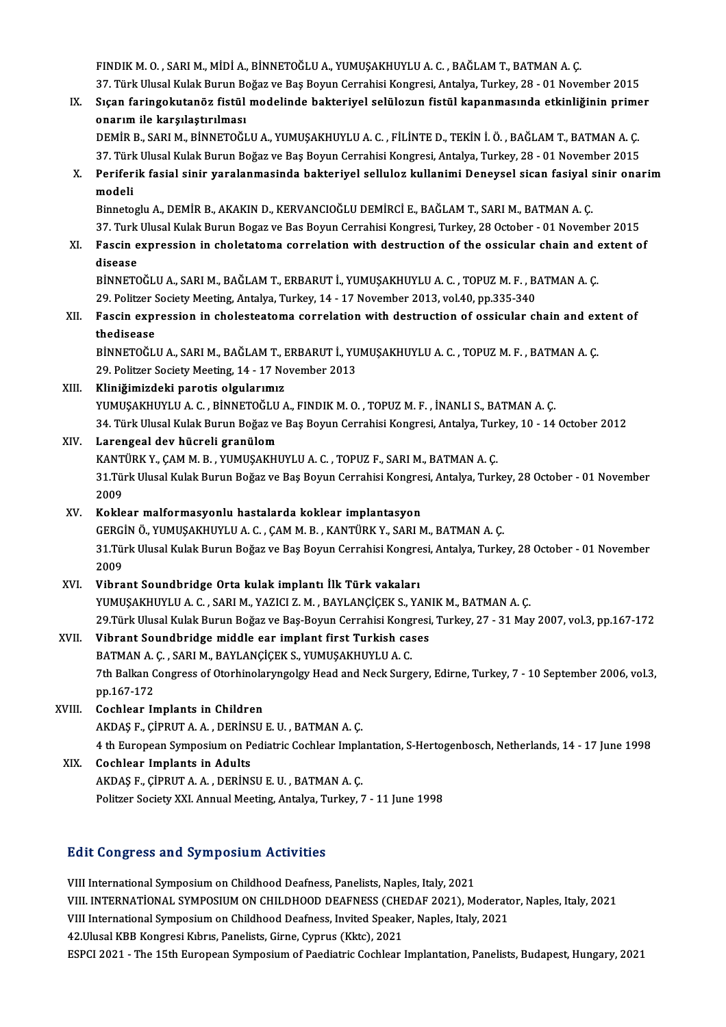FINDIKM.O. ,SARIM.,MİDİA.,BİNNETOĞLUA.,YUMUŞAKHUYLUA.C. ,BAĞLAMT.,BATMANA.Ç. FINDIK M. O. , SARI M., MİDİ A., BİNNETOĞLU A., YUMUŞAKHUYLU A. C. , BAĞLAM T., BATMAN A. Ç.<br>37. Türk Ulusal Kulak Burun Boğaz ve Baş Boyun Cerrahisi Kongresi, Antalya, Turkey, 28 - 01 November 2015<br>Sısan faringalutanğa fi FINDIK M. O. , SARI M., MİDİ A., BİNNETOĞLU A., YUMUŞAKHUYLU A. C. , BAĞLAM T., BATMAN A. Ç.<br>37. Türk Ulusal Kulak Burun Boğaz ve Baş Boyun Cerrahisi Kongresi, Antalya, Turkey, 28 - 01 November 2015<br>IX. Sıçan faringoku

IX. Sıçan faringokutanöz fistül modelinde bakteriyel selülozun fistül kapanmasında etkinliğinin primer<br>onarım ile karşılaştırılması Sıçan faringokutanöz fistül modelinde bakteriyel selülozun fistül kapanmasında etkinliğinin prime<br>onarım ile karşılaştırılması<br>DEMİR B., SARI M., BİNNETOĞLU A., YUMUŞAKHUYLU A. C. , FİLİNTE D., TEKİN İ. Ö. , BAĞLAM T., BAT

onarım ile karşılaştırılması<br>DEMİR B., SARI M., BİNNETOĞLU A., YUMUŞAKHUYLU A. C. , FİLİNTE D., TEKİN İ. Ö. , BAĞLAM T., BATMAN A. Ç.<br>37. Türk Ulusal Kulak Burun Boğaz ve Baş Boyun Cerrahisi Kongresi, Antalya, Turkey, 28 -DEMİR B., SARI M., BİNNETOĞLU A., YUMUŞAKHUYLU A. C. , FİLİNTE D., TEKİN İ. Ö. , BAĞLAM T., BATMAN A. Ç.<br>37. Türk Ulusal Kulak Burun Boğaz ve Baş Boyun Cerrahisi Kongresi, Antalya, Turkey, 28 - 01 November 2015<br>X. Peri

37. Tür<mark>l</mark><br>Perifer<br>modeli Periferik fasial sinir yaralanmasinda bakteriyel selluloz kullanimi Deneysel sican fasiyal s<br>modeli<br>Binnetoglu A., DEMİR B., AKAKIN D., KERVANCIOĞLU DEMİRCİ E., BAĞLAM T., SARI M., BATMAN A. Ç.<br>27. Turk Ulucal Kulak Burun

modeli<br>Binnetoglu A., DEMİR B., AKAKIN D., KERVANCIOĞLU DEMİRCİ E., BAĞLAM T., SARI M., BATMAN A. Ç.<br>37. Turk Ulusal Kulak Burun Bogaz ve Bas Boyun Cerrahisi Kongresi, Turkey, 28 October - 01 November 2015<br>Fassin expressio Binnetoglu A., DEMİR B., AKAKIN D., KERVANCIOĞLU DEMİRCİ E., BAĞLAM T., SARI M., BATMAN A. Ç.<br>37. Turk Ulusal Kulak Burun Bogaz ve Bas Boyun Cerrahisi Kongresi, Turkey, 28 October - 01 November 2015<br>XI. Fascin expressio

# 37 Turk<br>Fascin e<br>disease<br><sup>Dinnerc</sup>

Fascin expression in choletatoma correlation with destruction of the ossicular chain and existency disease<br>BİNNETOĞLU A., SARI M., BAĞLAM T., ERBARUT İ., YUMUŞAKHUYLU A. C. , TOPUZ M. F. , BATMAN A. Ç.<br>20 Bolitzer Seciety disease<br>BİNNETOĞLU A., SARI M., BAĞLAM T., ERBARUT İ., YUMUŞAKHUYLU A. C. , TOPUZ M. F. , B.<br>29. Politzer Society Meeting, Antalya, Turkey, 14 - 17 November 2013, vol.40, pp.335-340<br>Fessin expression in shelesteaterna serr BİNNETOĞLU A., SARI M., BAĞLAM T., ERBARUT İ., YUMUŞAKHUYLU A. C. , TOPUZ M. F. , BATMAN A. Ç.<br>29. Politzer Society Meeting, Antalya, Turkey, 14 - 17 November 2013, vol.40, pp.335-340<br>XII. Fascin expression in choleste

29. Politzer S<br>Fascin expit<br>thedisease<br>PINNETOČLI Fascin expression in cholesteatoma correlation with destruction of ossicular chain and ex<br>thedisease<br>BİNNETOĞLU A., SARI M., BAĞLAM T., ERBARUT İ., YUMUŞAKHUYLU A. C. , TOPUZ M. F. , BATMAN A. Ç.<br>20 Bolitzer Seciety Mestin

thedisease<br>BİNNETOĞLU A., SARI M., BAĞLAM T., ERBARUT İ., YUMUŞAKHUYLU A. C. , TOPUZ M. F. , BATMAN A. Ç.<br>29. Politzer Society Meeting, 14 - 17 November 2013

#### XIII. Kliniğimizdeki parotis olgularımız

YUMUŞAKHUYLU A. C. , BİNNETOĞLU A., FINDIK M. O. , TOPUZ M. F. , İNANLI S., BATMAN A. Ç. 34.TürkUlusalKulakBurunBoğazveBaşBoyunCerrahisiKongresi,Antalya,Turkey,10 -14October 2012

#### XIV. Larengeal dev hücreli granülom

34. Türk Ulusal Kulak Burun Boğaz ve Baş Boyun Cerrahisi Kongresi, Antalya, Tur<br>Larengeal dev hücreli granülom<br>KANTÜRK Y., ÇAM M. B. , YUMUŞAKHUYLU A. C. , TOPUZ F., SARI M., BATMAN A. Ç.<br>21 Türk Ulusal Kulak Burun Boğaz v

Larengeal dev hücreli granülom<br>KANTÜRK Y., ÇAM M. B. , YUMUŞAKHUYLU A. C. , TOPUZ F., SARI M., BATMAN A. Ç.<br>31.Türk Ulusal Kulak Burun Boğaz ve Baş Boyun Cerrahisi Kongresi, Antalya, Turkey, 28 October - 01 November<br>2009 KANT<br>31.Tül<br>2009<br>Kakla 31.Türk Ulusal Kulak Burun Boğaz ve Baş Boyun Cerrahisi Kongres<br>2009<br>XV. Koklear malformasyonlu hastalarda koklear implantasyon<br>CERCIN Ö VUMUSAKHUN HA C. CAMM B. KANTÜRK V. SARLA

2009<br>Koklear malformasyonlu hastalarda koklear implantasyon<br>GERGİN Ö., YUMUŞAKHUYLU A. C. , ÇAM M. B. , KANTÜRK Y., SARI M., BATMAN A. Ç.<br>21 Türk Ulusal Kulak Burun Boğar ve Baş Borun Carrabisi Kongresi, Antalva Turka Koklear malformasyonlu hastalarda koklear implantasyon<br>GERGİN Ö., YUMUŞAKHUYLU A. C. , ÇAM M. B. , KANTÜRK Y., SARI M., BATMAN A. Ç.<br>31.Türk Ulusal Kulak Burun Boğaz ve Baş Boyun Cerrahisi Kongresi, Antalya, Turkey, 28 Oct GERGI<br>31.Tür<br>2009<br>Vibre

XVI. Vibrant Soundbridge Orta kulak implantı İlk Türk vakaları YUMUŞAKHUYLU A. C., SARI M., YAZICI Z. M., BAYLANÇİÇEK S., YANIK M., BATMAN A. C. Vibrant Soundbridge Orta kulak implantı İlk Türk vakaları<br>YUMUŞAKHUYLU A. C. , SARI M., YAZICI Z. M. , BAYLANÇİÇEK S., YANIK M., BATMAN A. Ç.<br>29.Türk Ulusal Kulak Burun Boğaz ve Baş-Boyun Cerrahisi Kongresi, Turkey, 27 - 3 29.Türk Ulusal Kulak Burun Boğaz ve Baş-Boyun Cerrahisi Kong<br>Vibrant Soundbridge middle ear implant first Turkish ca:<br>BATMAN A. Ç. , SARI M., BAYLANÇİÇEK S., YUMUŞAKHUYLU A. C.<br><sup>7th Ballran Congress of Oterhinglarıngoları </sup>

## XVII. Vibrant Soundbridge middle ear implant first Turkish cases<br>BATMAN A. C., SARI M., BAYLANCICEK S., YUMUSAKHUYLU A. C.

Vibrant Soundbridge middle ear implant first Turkish cases<br>BATMAN A. Ç. , SARI M., BAYLANÇİÇEK S., YUMUŞAKHUYLU A. C.<br>7th Balkan Congress of Otorhinolaryngolgy Head and Neck Surgery, Edirne, Turkey, 7 - 10 September 2006, BATMAN A.<br>7th Balkan C<br>pp.167-172<br>Cashlaar Ir

- pp.167-172<br>XVIII. Cochlear Implants in Children pp.167-172<br>Cochlear Implants in Children<br>AKDAŞ F., ÇİPRUT A. A. , DERİNSU E. U. , BATMAN A. Ç.<br>4 th European Sumnesium en Bediatric Ceshlear Imple 4 th European Symposium on Pediatric Cochlear Implantation, S-Hertogenbosch, Netherlands, 14 - 17 June 1998<br>XIX. Cochlear Implants in Adults AKDAŞ F., ÇİPRUT A. A., DERİNS<br>4 th European Symposium on P.<br>XIX. Cochlear Implants in Adults
	- AKDAŞ F.,ÇİPRUTA.A. ,DERİNSUE.U. ,BATMANA.Ç. Politzer Society XXI. Annual Meeting, Antalya, Turkey, 7 - 11 June 1998

#### **Edit Congress and Symposium Activities**

VIII International Symposium on Childhood Deafness, Panelists, Naples, Italy, 2021 Pure Gongress and by inpostant receveress<br>VIII International Symposium on Childhood Deafness, Panelists, Naples, Italy, 2021<br>VIII. INTERNATIONAL SYMPOSIUM ON CHILDHOOD DEAFNESS (CHEDAF 2021), Moderator, Naples, Italy, 2021 VIII International Symposium on Childhood Deafness, Panelists, Naples, Italy, 2021<br>VIII. INTERNATIONAL SYMPOSIUM ON CHILDHOOD DEAFNESS (CHEDAF 2021), Moderato<br>VIII International Symposium on Childhood Deafness, Invited Spe VIII. INTERNATIONAL SYMPOSIUM ON CHILDHOOD DEAFNESS (CHE<br>VIII International Symposium on Childhood Deafness, Invited Speake<br>42.Ulusal KBB Kongresi Kıbrıs, Panelists, Girne, Cyprus (Kktc), 2021<br>ESPCL 2021 - The 15th Europea VIII International Symposium on Childhood Deafness, Invited Speaker, Naples, Italy, 2021<br>42.Ulusal KBB Kongresi Kıbrıs, Panelists, Girne, Cyprus (Kktc), 2021<br>ESPCI 2021 - The 15th European Symposium of Paediatric Cochlear